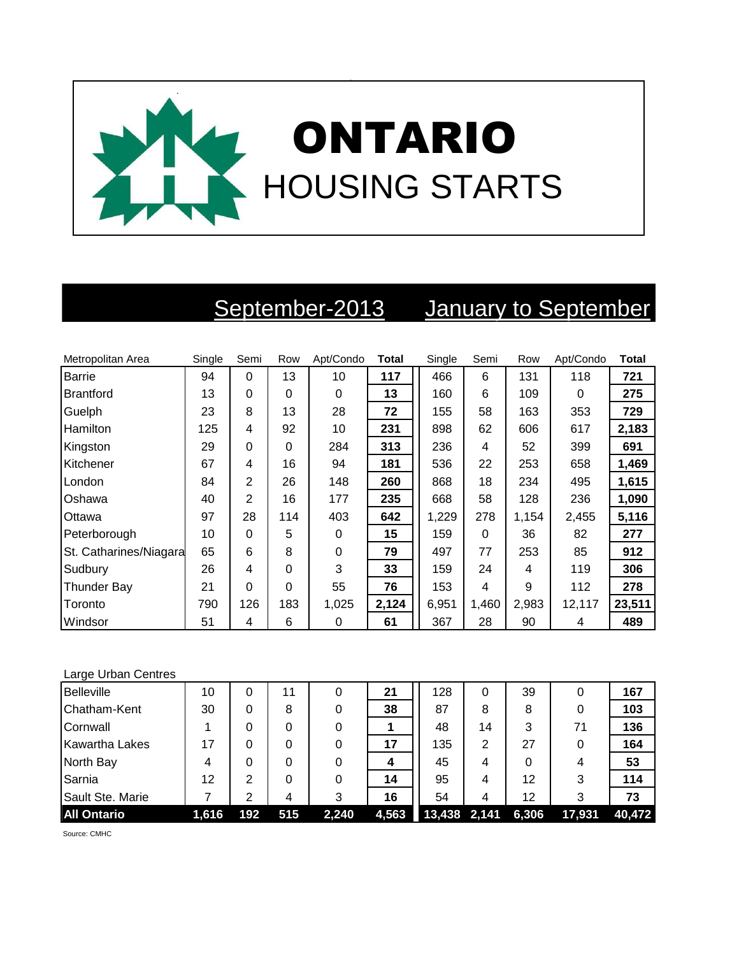

## September-2013 January to September

| Metropolitan Area      | Single | Semi     | Row      | Apt/Condo | <b>Total</b> | Single | Semi     | Row   | Apt/Condo | <b>Total</b> |
|------------------------|--------|----------|----------|-----------|--------------|--------|----------|-------|-----------|--------------|
| <b>Barrie</b>          | 94     | $\Omega$ | 13       | 10        | 117          | 466    | 6        | 131   | 118       | 721          |
| <b>Brantford</b>       | 13     | $\Omega$ | $\Omega$ | $\Omega$  | 13           | 160    | 6        | 109   | 0         | 275          |
| Guelph                 | 23     | 8        | 13       | 28        | 72           | 155    | 58       | 163   | 353       | 729          |
| Hamilton               | 125    | 4        | 92       | 10        | 231          | 898    | 62       | 606   | 617       | 2,183        |
| Kingston               | 29     | $\Omega$ | $\Omega$ | 284       | 313          | 236    | 4        | 52    | 399       | 691          |
| Kitchener              | 67     | 4        | 16       | 94        | 181          | 536    | 22       | 253   | 658       | 1,469        |
| London                 | 84     | 2        | 26       | 148       | 260          | 868    | 18       | 234   | 495       | 1,615        |
| Oshawa                 | 40     | 2        | 16       | 177       | 235          | 668    | 58       | 128   | 236       | 1,090        |
| Ottawa                 | 97     | 28       | 114      | 403       | 642          | 1,229  | 278      | 1,154 | 2,455     | 5,116        |
| Peterborough           | 10     | $\Omega$ | 5        | $\Omega$  | 15           | 159    | $\Omega$ | 36    | 82        | 277          |
| St. Catharines/Niagara | 65     | 6        | 8        | $\Omega$  | 79           | 497    | 77       | 253   | 85        | 912          |
| Sudbury                | 26     | 4        | 0        | 3         | 33           | 159    | 24       | 4     | 119       | 306          |
| <b>Thunder Bay</b>     | 21     | $\Omega$ | $\Omega$ | 55        | 76           | 153    | 4        | 9     | 112       | 278          |
| Toronto                | 790    | 126      | 183      | 1,025     | 2,124        | 6,951  | 1,460    | 2,983 | 12,117    | 23,511       |
| Windsor                | 51     | 4        | 6        | 0         | 61           | 367    | 28       | 90    | 4         | 489          |

## Large Urban Centres

| <b>Belleville</b>     | 10    | 0   | 11  |       | 21    | 128            | 0  | 39    |        | 167    |
|-----------------------|-------|-----|-----|-------|-------|----------------|----|-------|--------|--------|
| Chatham-Kent          | 30    | 0   | 8   |       | 38    | 87             | 8  | 8     |        | 103    |
| Cornwall              |       |     | 0   |       |       | 48             | 14 | 3     | 71     | 136    |
| <b>Kawartha Lakes</b> | 17    |     | 0   |       | 17    | 135            | 2  | 27    |        | 164    |
| North Bay             | 4     |     | 0   |       |       | 45             | 4  |       | 4      | 53     |
| Sarnia                | 12    | っ   | 0   |       | 14    | 95             | 4  | 12    | 3      | 114    |
| Sault Ste. Marie      |       | າ   | 4   | 3     | 16    | 54             | 4  | 12    | 3      | 73     |
| <b>All Ontario</b>    | 1,616 | 192 | 515 | 2,240 | 4,563 | $13,438$ 2,141 |    | 6,306 | 17,931 | 40,472 |

Source: CMHC